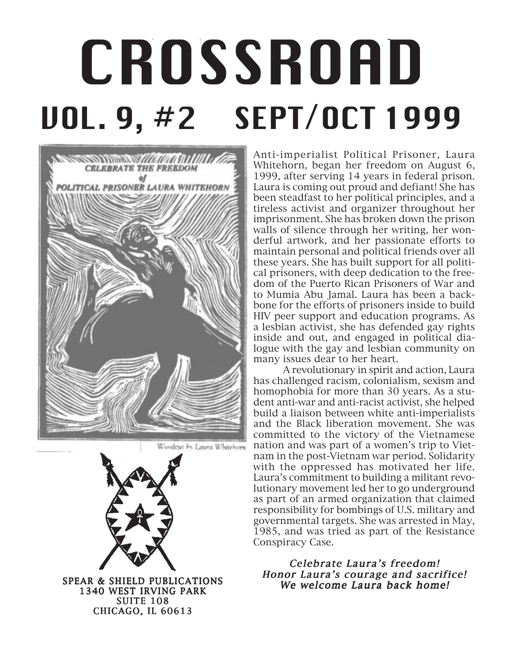# CROSSROAD /SSP, VOL. 9, 1999, 1999, 1999, 1999, 1999, 1999, 1999, 1999, 1999, 1999, 1999, 1999, 1999, 1999, 19 CROSSROAD VOL. 9, #2 SEPT/OCT 1999



Wondeut by Latera Whitehorn



1340 WEST IRVING PARK SUITE 108 CHICAGO, IL 60613

Anti-imperialist Political Prisoner, Laura Whitehorn, began her freedom on August 6, 1999, after serving 14 years in federal prison. Laura is coming out proud and defiant! She has been steadfast to her political principles, and a tireless activist and organizer throughout her imprisonment. She has broken down the prison walls of silence through her writing, her wonderful artwork, and her passionate efforts to maintain personal and political friends over all these years. She has built support for all political prisoners, with deep dedication to the freedom of the Puerto Rican Prisoners of War and to Mumia Abu Jamal. Laura has been a backbone for the efforts of prisoners inside to build HIV peer support and education programs. As a lesbian activist, she has defended gay rights inside and out, and engaged in political dialogue with the gay and lesbian community on many issues dear to her heart.

A revolutionary in spirit and action, Laura has challenged racism, colonialism, sexism and homophobia for more than 30 years. As a student anti-war and anti-racist activist, she helped build a liaison between white anti-imperialists and the Black liberation movement. She was committed to the victory of the Vietnamese nation and was part of a women's trip to Vietnam in the post-Vietnam war period. Solidarity with the oppressed has motivated her life. Laura's commitment to building a militant revolutionary movement led her to go underground as part of an armed organization that claimed responsibility for bombings of U.S. military and governmental targets. She was arrested in May, 1985, and was tried as part of the Resistance Conspiracy Case.

Celebrate Laura's freedom! Honor Laura's courage and sacrifice! SPEAR & SHIELD PUBLICATIONS<br>We welcome Laura back home!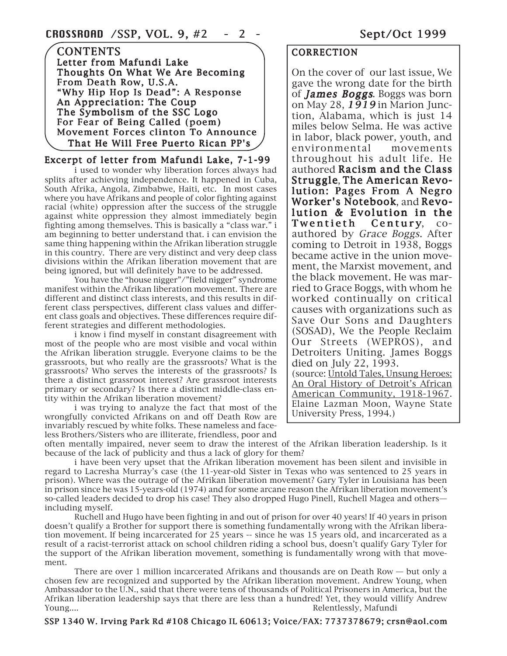#### **CONTENTS** Letter from Mafundi Lake Thoughts On What We Are Becoming From Death Row, U.S.A. "Why Hip Hop Is Dead": A Response An Appreciation: The Coup The Symbolism of the SSC Logo For Fear of Being Called (poem) Movement Forces clinton To Announce That He Will Free Puerto Rican PP's

#### Excerpt of letter from Mafundi Lake, 7-1-99

i used to wonder why liberation forces always had splits after achieving independence. It happened in Cuba, South Afrika, Angola, Zimbabwe, Haiti, etc. In most cases where you have Afrikans and people of color fighting against racial (white) oppression after the success of the struggle against white oppression they almost immediately begin fighting among themselves. This is basically a "class war." i am beginning to better understand that. i can envision the same thing happening within the Afrikan liberation struggle in this country. There are very distinct and very deep class divisions within the Afrikan liberation movement that are being ignored, but will definitely have to be addressed.

You have the "house nigger"/"field nigger" syndrome manifest within the Afrikan liberation movement. There are different and distinct class interests, and this results in different class perspectives, different class values and different class goals and objectives. These differences require different strategies and different methodologies.

i know i find myself in constant disagreement with most of the people who are most visible and vocal within the Afrikan liberation struggle. Everyone claims to be the grassroots, but who really are the grassroots? What is the grassroots? Who serves the interests of the grassroots? Is there a distinct grassroot interest? Are grassroot interests primary or secondary? Is there a distinct middle-class entity within the Afrikan liberation movement?

i was trying to analyze the fact that most of the wrongfully convicted Afrikans on and off Death Row are invariably rescued by white folks. These nameless and faceless Brothers/Sisters who are illiterate, friendless, poor and

#### **CORRECTION**

On the cover of our last issue, We gave the wrong date for the birth of **James Boggs.** Boggs was born on May 28,  $1919$  in Marion Junction, Alabama, which is just 14 miles below Selma. He was active in labor, black power, youth, and environmental movements throughout his adult life. He authored Racism and the Class Struggle, The American Revolution: Pages From A Negro Worker's Notebook, and Revolution & Evolution in the Twentieth Century, coauthored by Grace Boggs. After coming to Detroit in 1938, Boggs became active in the union movement, the Marxist movement, and the black movement. He was married to Grace Boggs, with whom he worked continually on critical causes with organizations such as Save Our Sons and Daughters (SOSAD), We the People Reclaim Our Streets (WEPROS), and Detroiters Uniting. James Boggs died on July 22, 1993. (source: Untold Tales, Unsung Heroes: An Oral History of Detroit's African American Community, 1918-1967. Elaine Lazman Moon, Wayne State University Press, 1994.)

often mentally impaired, never seem to draw the interest of the Afrikan liberation leadership. Is it because of the lack of publicity and thus a lack of glory for them?

i have been very upset that the Afrikan liberation movement has been silent and invisible in regard to Lacresha Murray's case (the 11-year-old Sister in Texas who was sentenced to 25 years in prison). Where was the outrage of the Afrikan liberation movement? Gary Tyler in Louisiana has been in prison since he was 15-years-old (1974) and for some arcane reason the Afrikan liberation movement's so-called leaders decided to drop his case! They also dropped Hugo Pinell, Ruchell Magea and others including myself.

Ruchell and Hugo have been fighting in and out of prison for over 40 years! If 40 years in prison doesn't qualify a Brother for support there is something fundamentally wrong with the Afrikan liberation movement. If being incarcerated for 25 years -- since he was 15 years old, and incarcerated as a result of a racist-terrorist attack on school children riding a school bus, doesn't qualify Gary Tyler for the support of the Afrikan liberation movement, something is fundamentally wrong with that movement.

There are over 1 million incarcerated Afrikans and thousands are on Death Row — but only a chosen few are recognized and supported by the Afrikan liberation movement. Andrew Young, when Ambassador to the U.N., said that there were tens of thousands of Political Prisoners in America, but the Afrikan liberation leadership says that there are less than a hundred! Yet, they would villify Andrew Young....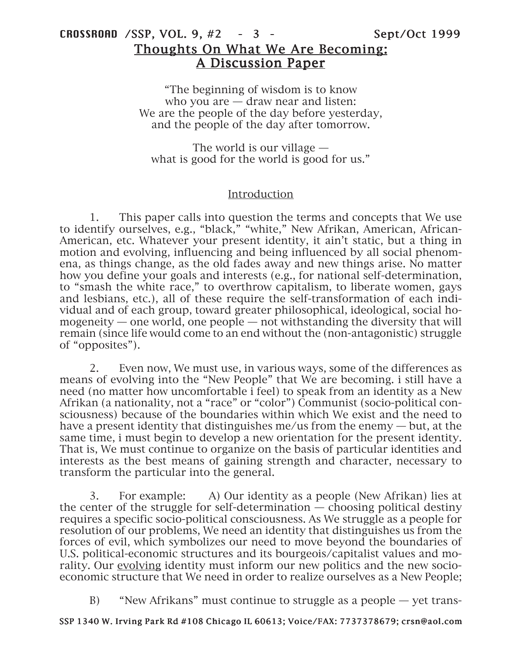# CROSSROAD /SSP, VOL. 9, #2 - 3 - Sept/Oct 1999 Thoughts On What We Are Becoming: A Discussion Paper

"The beginning of wisdom is to know who you are – draw near and listen: We are the people of the day before yesterday, and the people of the day after tomorrow.

The world is our village what is good for the world is good for us."

### Introduction

1. This paper calls into question the terms and concepts that We use to identify ourselves, e.g., "black," "white," New Afrikan, American, African-American, etc. Whatever your present identity, it ain't static, but a thing in motion and evolving, influencing and being influenced by all social phenomena, as things change, as the old fades away and new things arise. No matter how you define your goals and interests (e.g., for national self-determination, to "smash the white race," to overthrow capitalism, to liberate women, gays and lesbians, etc.), all of these require the self-transformation of each individual and of each group, toward greater philosophical, ideological, social homogeneity — one world, one people — not withstanding the diversity that will remain (since life would come to an end without the (non-antagonistic) struggle of "opposites").

2. Even now, We must use, in various ways, some of the differences as means of evolving into the "New People" that We are becoming. i still have a need (no matter how uncomfortable i feel) to speak from an identity as a New Afrikan (a nationality, not a "race" or "color") Communist (socio-political consciousness) because of the boundaries within which We exist and the need to have a present identity that distinguishes me/us from the enemy — but, at the same time, i must begin to develop a new orientation for the present identity. That is, We must continue to organize on the basis of particular identities and interests as the best means of gaining strength and character, necessary to transform the particular into the general.

3. For example: A) Our identity as a people (New Afrikan) lies at the center of the struggle for self-determination  $-$  choosing political destiny requires a specific socio-political consciousness. As We struggle as a people for resolution of our problems, We need an identity that distinguishes us from the forces of evil, which symbolizes our need to move beyond the boundaries of U.S. political-economic structures and its bourgeois/capitalist values and morality. Our evolving identity must inform our new politics and the new socioeconomic structure that We need in order to realize ourselves as a New People;

B) "New Afrikans" must continue to struggle as a people — yet trans-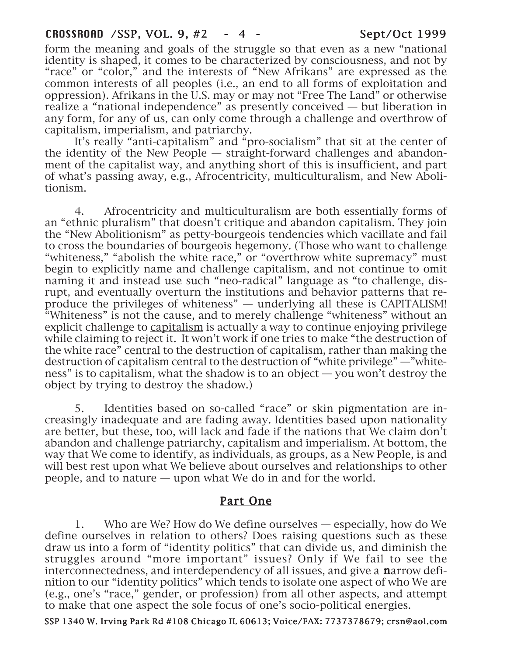#### CROSSROAD /SSP, VOL. 9, #2 - 4 - Sept/Oct 1999

form the meaning and goals of the struggle so that even as a new "national identity is shaped, it comes to be characterized by consciousness, and not by "race" or "color," and the interests of "New Afrikans" are expressed as the common interests of all peoples (i.e., an end to all forms of exploitation and oppression). Afrikans in the U.S. may or may not "Free The Land" or otherwise realize a "national independence" as presently conceived — but liberation in any form, for any of us, can only come through a challenge and overthrow of capitalism, imperialism, and patriarchy.

It's really "anti-capitalism" and "pro-socialism" that sit at the center of the identity of the New People — straight-forward challenges and abandonment of the capitalist way, and anything short of this is insufficient, and part of what's passing away, e.g., Afrocentricity, multiculturalism, and New Abolitionism.

4. Afrocentricity and multiculturalism are both essentially forms of an "ethnic pluralism" that doesn't critique and abandon capitalism. They join the "New Abolitionism" as petty-bourgeois tendencies which vacillate and fail to cross the boundaries of bourgeois hegemony. (Those who want to challenge "whiteness," "abolish the white race," or "overthrow white supremacy" must begin to explicitly name and challenge capitalism, and not continue to omit naming it and instead use such "neo-radical" language as "to challenge, disrupt, and eventually overturn the institutions and behavior patterns that reproduce the privileges of whiteness" — underlying all these is CAPITALISM! "Whiteness" is not the cause, and to merely challenge "whiteness" without an explicit challenge to capitalism is actually a way to continue enjoying privilege while claiming to reject it. It won't work if one tries to make "the destruction of the white race" central to the destruction of capitalism, rather than making the destruction of capitalism central to the destruction of "white privilege" —"whiteness" is to capitalism, what the shadow is to an object — you won't destroy the object by trying to destroy the shadow.)

5. Identities based on so-called "race" or skin pigmentation are increasingly inadequate and are fading away. Identities based upon nationality are better, but these, too, will lack and fade if the nations that We claim don't abandon and challenge patriarchy, capitalism and imperialism. At bottom, the way that We come to identify, as individuals, as groups, as a New People, is and will best rest upon what We believe about ourselves and relationships to other people, and to nature — upon what We do in and for the world.

# Part One

1. Who are We? How do We define ourselves — especially, how do We define ourselves in relation to others? Does raising questions such as these draw us into a form of "identity politics" that can divide us, and diminish the struggles around "more important" issues? Only if We fail to see the interconnectedness, and interdependency of all issues, and give a **narrow** definition to our "identity politics" which tends to isolate one aspect of who We are (e.g., one's "race," gender, or profession) from all other aspects, and attempt to make that one aspect the sole focus of one's socio-political energies.

#### SSP 1340 W. Irving Park Rd #108 Chicago IL 60613; Voice/FAX: 7737378679; crsn@aol.com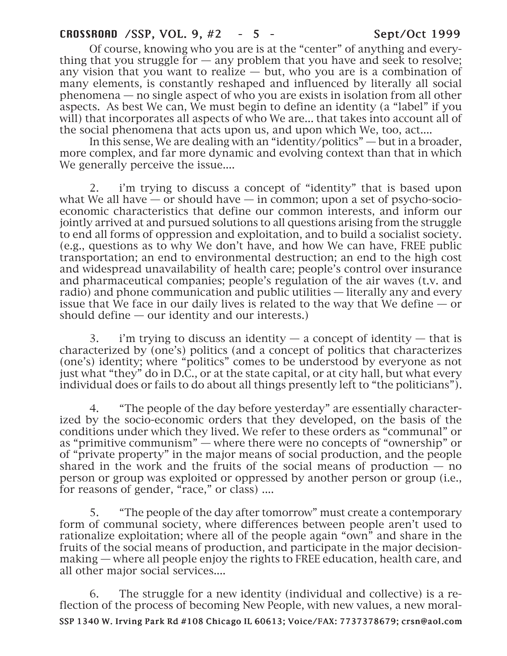Of course, knowing who you are is at the "center" of anything and everything that you struggle for  $-$  any problem that you have and seek to resolve; any vision that you want to realize — but, who you are is a combination of many elements, is constantly reshaped and influenced by literally all social phenomena — no single aspect of who you are exists in isolation from all other aspects. As best We can, We must begin to define an identity (a "label" if you will) that incorporates all aspects of who We are... that takes into account all of the social phenomena that acts upon us, and upon which We, too, act....

In this sense, We are dealing with an "identity/politics" — but in a broader, more complex, and far more dynamic and evolving context than that in which We generally perceive the issue....

2. i'm trying to discuss a concept of "identity" that is based upon what We all have  $-$  or should have  $-$  in common; upon a set of psycho-socioeconomic characteristics that define our common interests, and inform our jointly arrived at and pursued solutions to all questions arising from the struggle to end all forms of oppression and exploitation, and to build a socialist society. (e.g., questions as to why We don't have, and how We can have, FREE public transportation; an end to environmental destruction; an end to the high cost and widespread unavailability of health care; people's control over insurance and pharmaceutical companies; people's regulation of the air waves (t.v. and radio) and phone communication and public utilities — literally any and every issue that We face in our daily lives is related to the way that We define — or should define  $-$  our identity and our interests.)

3. i'm trying to discuss an identity  $-$  a concept of identity  $-$  that is characterized by (one's) politics (and a concept of politics that characterizes (one's) identity; where "politics" comes to be understood by everyone as not just what "they" do in D.C., or at the state capital, or at city hall, but what every individual does or fails to do about all things presently left to "the politicians").

4. "The people of the day before yesterday" are essentially characterized by the socio-economic orders that they developed, on the basis of the conditions under which they lived. We refer to these orders as "communal" or as "primitive communism" — where there were no concepts of "ownership" or of "private property" in the major means of social production, and the people shared in the work and the fruits of the social means of production  $-$  no person or group was exploited or oppressed by another person or group (i.e., for reasons of gender, "race," or class) ....

5. "The people of the day after tomorrow" must create a contemporary form of communal society, where differences between people aren't used to rationalize exploitation; where all of the people again "own" and share in the fruits of the social means of production, and participate in the major decisionmaking — where all people enjoy the rights to FREE education, health care, and all other major social services....

6. The struggle for a new identity (individual and collective) is a reflection of the process of becoming New People, with new values, a new moral-

#### SSP 1340 W. Irving Park Rd #108 Chicago IL 60613; Voice/FAX: 7737378679; crsn@aol.com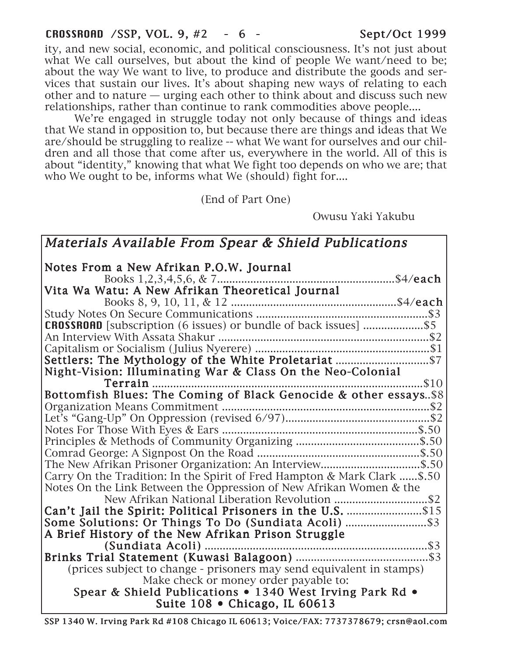# CROSSROAD /SSP, VOL. 9, #2 - 6 - Sept/Oct 1999

ity, and new social, economic, and political consciousness. It's not just about what We call ourselves, but about the kind of people We want/need to be; about the way We want to live, to produce and distribute the goods and services that sustain our lives. It's about shaping new ways of relating to each other and to nature — urging each other to think about and discuss such new relationships, rather than continue to rank commodities above people....

We're engaged in struggle today not only because of things and ideas that We stand in opposition to, but because there are things and ideas that We are/should be struggling to realize -- what We want for ourselves and our children and all those that come after us, everywhere in the world. All of this is about "identity," knowing that what We fight too depends on who we are; that who We ought to be, informs what We (should) fight for....

(End of Part One)

Owusu Yaki Yakubu

Materials Available From Spear & Shield Publications

| Notes From a New Afrikan P.O.W. Journal                                  |
|--------------------------------------------------------------------------|
|                                                                          |
| Vita Wa Watu: A New Afrikan Theoretical Journal                          |
|                                                                          |
|                                                                          |
| <b>CROSSROAD</b> [subscription (6 issues) or bundle of back issues] \$5  |
|                                                                          |
|                                                                          |
|                                                                          |
| Night-Vision: Illuminating War & Class On the Neo-Colonial               |
| \$10<br>Terrain                                                          |
| Bottomfish Blues: The Coming of Black Genocide & other essays\$8         |
|                                                                          |
|                                                                          |
|                                                                          |
|                                                                          |
|                                                                          |
| The New Afrikan Prisoner Organization: An Interview\$.50                 |
| Carry On the Tradition: In the Spirit of Fred Hampton & Mark Clark \$.50 |
| Notes On the Link Between the Oppression of New Afrikan Women & the      |
| New Afrikan National Liberation Revolution \$2                           |
|                                                                          |
|                                                                          |
| A Brief History of the New Afrikan Prison Struggle                       |
|                                                                          |
|                                                                          |
| (prices subject to change - prisoners may send equivalent in stamps)     |
| Make check or money order payable to:                                    |
| Spear & Shield Publications • 1340 West Irving Park Rd •                 |
| Suite $108 \cdot$ Chicago, IL 60613                                      |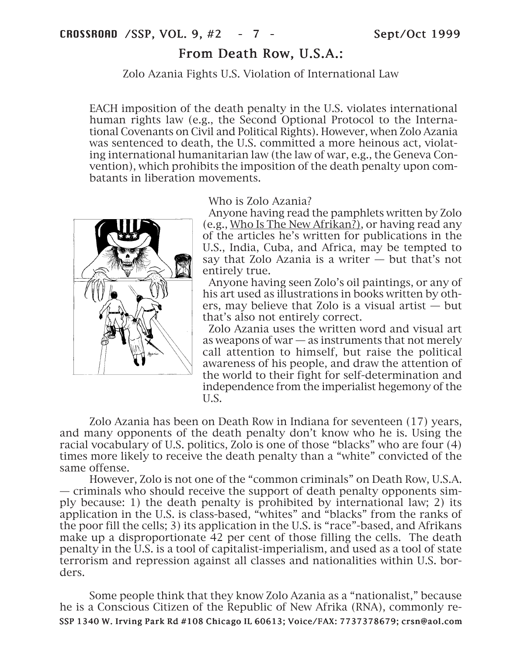# From Death Row, U.S.A.:

Zolo Azania Fights U.S. Violation of International Law

EACH imposition of the death penalty in the U.S. violates international human rights law (e.g., the Second Optional Protocol to the International Covenants on Civil and Political Rights). However, when Zolo Azania was sentenced to death, the U.S. committed a more heinous act, violating international humanitarian law (the law of war, e.g., the Geneva Convention), which prohibits the imposition of the death penalty upon combatants in liberation movements.



#### Who is Zolo Azania?

Anyone having read the pamphlets written by Zolo (e.g., Who Is The New Afrikan?), or having read any of the articles he's written for publications in the U.S., India, Cuba, and Africa, may be tempted to say that Zolo Azania is a writer — but that's not entirely true.

Anyone having seen Zolo's oil paintings, or any of his art used as illustrations in books written by others, may believe that Zolo is a visual artist — but that's also not entirely correct.

Zolo Azania uses the written word and visual art as weapons of war  $-$  as instruments that not merely call attention to himself, but raise the political awareness of his people, and draw the attention of the world to their fight for self-determination and independence from the imperialist hegemony of the U.S.

Zolo Azania has been on Death Row in Indiana for seventeen (17) years, and many opponents of the death penalty don't know who he is. Using the racial vocabulary of U.S. politics, Zolo is one of those "blacks" who are four (4) times more likely to receive the death penalty than a "white" convicted of the same offense.

However, Zolo is not one of the "common criminals" on Death Row, U.S.A. — criminals who should receive the support of death penalty opponents simply because: 1) the death penalty is prohibited by international law; 2) its application in the U.S. is class-based, "whites" and "blacks" from the ranks of the poor fill the cells; 3) its application in the U.S. is "race"-based, and Afrikans make up a disproportionate 42 per cent of those filling the cells. The death penalty in the U.S. is a tool of capitalist-imperialism, and used as a tool of state terrorism and repression against all classes and nationalities within U.S. borders.

SSP 1340 W. Irving Park Rd #108 Chicago IL 60613; Voice/FAX: 7737378679; crsn@aol.com Some people think that they know Zolo Azania as a "nationalist," because he is a Conscious Citizen of the Republic of New Afrika (RNA), commonly re-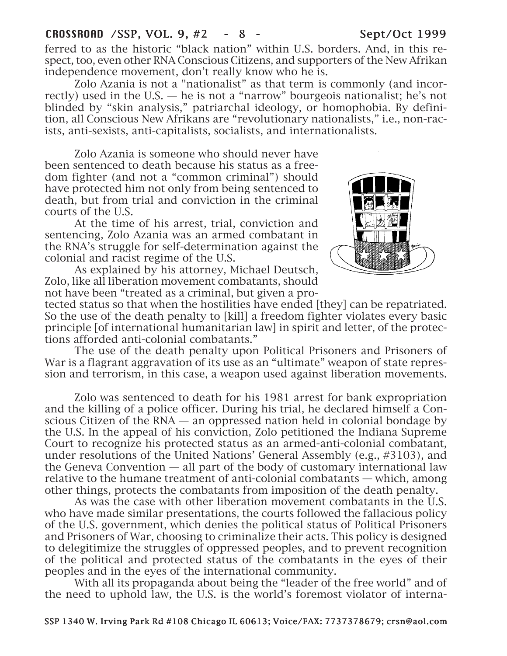## CROSSROAD /SSP, VOL. 9, #2 - 8 - Sept/Oct 1999

ferred to as the historic "black nation" within U.S. borders. And, in this respect, too, even other RNA Conscious Citizens, and supporters of the New Afrikan independence movement, don't really know who he is.

Zolo Azania is not a "nationalist" as that term is commonly (and incorrectly) used in the U.S. — he is not a "narrow" bourgeois nationalist; he's not blinded by "skin analysis," patriarchal ideology, or homophobia. By definition, all Conscious New Afrikans are "revolutionary nationalists," i.e., non-racists, anti-sexists, anti-capitalists, socialists, and internationalists.

Zolo Azania is someone who should never have been sentenced to death because his status as a freedom fighter (and not a "common criminal") should have protected him not only from being sentenced to death, but from trial and conviction in the criminal courts of the U.S.

At the time of his arrest, trial, conviction and sentencing, Zolo Azania was an armed combatant in the RNA's struggle for self-determination against the colonial and racist regime of the U.S.

As explained by his attorney, Michael Deutsch, Zolo, like all liberation movement combatants, should not have been "treated as a criminal, but given a pro-



tected status so that when the hostilities have ended [they] can be repatriated. So the use of the death penalty to [kill] a freedom fighter violates every basic principle [of international humanitarian law] in spirit and letter, of the protections afforded anti-colonial combatants."

The use of the death penalty upon Political Prisoners and Prisoners of War is a flagrant aggravation of its use as an "ultimate" weapon of state repression and terrorism, in this case, a weapon used against liberation movements.

Zolo was sentenced to death for his 1981 arrest for bank expropriation and the killing of a police officer. During his trial, he declared himself a Conscious Citizen of the  $RNA$  — an oppressed nation held in colonial bondage by the U.S. In the appeal of his conviction, Zolo petitioned the Indiana Supreme Court to recognize his protected status as an armed-anti-colonial combatant, under resolutions of the United Nations' General Assembly (e.g., #3103), and the Geneva Convention — all part of the body of customary international law relative to the humane treatment of anti-colonial combatants — which, among other things, protects the combatants from imposition of the death penalty.

As was the case with other liberation movement combatants in the U.S. who have made similar presentations, the courts followed the fallacious policy of the U.S. government, which denies the political status of Political Prisoners and Prisoners of War, choosing to criminalize their acts. This policy is designed to delegitimize the struggles of oppressed peoples, and to prevent recognition of the political and protected status of the combatants in the eyes of their peoples and in the eyes of the international community.

With all its propaganda about being the "leader of the free world" and of the need to uphold law, the U.S. is the world's foremost violator of interna-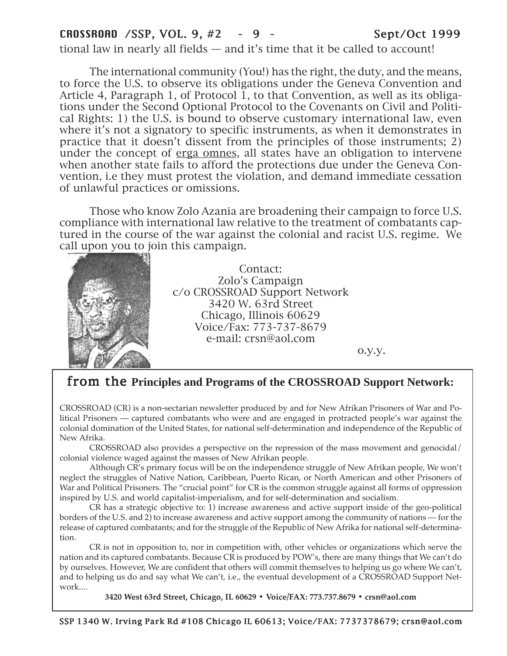# CROSSROAD /SSP, VOL. 9, #2 - 9 - Sept/Oct 1999

tional law in nearly all fields — and it's time that it be called to account!

The international community (You!) has the right, the duty, and the means, to force the U.S. to observe its obligations under the Geneva Convention and Article 4, Paragraph 1, of Protocol 1, to that Convention, as well as its obligations under the Second Optional Protocol to the Covenants on Civil and Political Rights: 1) the U.S. is bound to observe customary international law, even where it's not a signatory to specific instruments, as when it demonstrates in practice that it doesn't dissent from the principles of those instruments; 2) under the concept of erga omnes, all states have an obligation to intervene when another state fails to afford the protections due under the Geneva Convention, i.e they must protest the violation, and demand immediate cessation of unlawful practices or omissions.

Those who know Zolo Azania are broadening their campaign to force U.S. compliance with international law relative to the treatment of combatants captured in the course of the war against the colonial and racist U.S. regime. We call upon you to join this campaign.



Contact: Zolo's Campaign c/o CROSSROAD Support Network 3420 W. 63rd Street Chicago, Illinois 60629 Voice/Fax: 773-737-8679 e-mail: crsn@aol.com

o.y.y.

# from the from **Principles and Programs of the CROSSROAD Support Network:**

CROSSROAD (CR) is a non-sectarian newsletter produced by and for New Afrikan Prisoners of War and Political Prisoners — captured combatants who were and are engaged in protracted people's war against the colonial domination of the United States, for national self-determination and independence of the Republic of New Afrika.

CROSSROAD also provides a perspective on the repression of the mass movement and genocidal/ colonial violence waged against the masses of New Afrikan people.

Although CR's primary focus will be on the independence struggle of New Afrikan people, We won't neglect the struggles of Native Nation, Caribbean, Puerto Rican, or North American and other Prisoners of War and Political Prisoners. The "crucial point" for CR is the common struggle against all forms of oppression inspired by U.S. and world capitalist-imperialism, and for self-determination and socialism.

CR has a strategic objective to: 1) increase awareness and active support inside of the geo-political borders of the U.S. and 2) to increase awareness and active support among the community of nations — for the release of captured combatants; and for the struggle of the Republic of New Afrika for national self-determination.

CR is not in opposition to, nor in competition with, other vehicles or organizations which serve the nation and its captured combatants. Because CR is produced by POW's, there are many things that We can't do by ourselves. However, We are confident that others will commit themselves to helping us go where We can't, and to helping us do and say what We can't, i.e., the eventual development of a CROSSROAD Support Network....

**3420 West 63rd Street, Chicago, IL 60629 • Voice/FAX: 773.737.8679 • crsn@aol.com**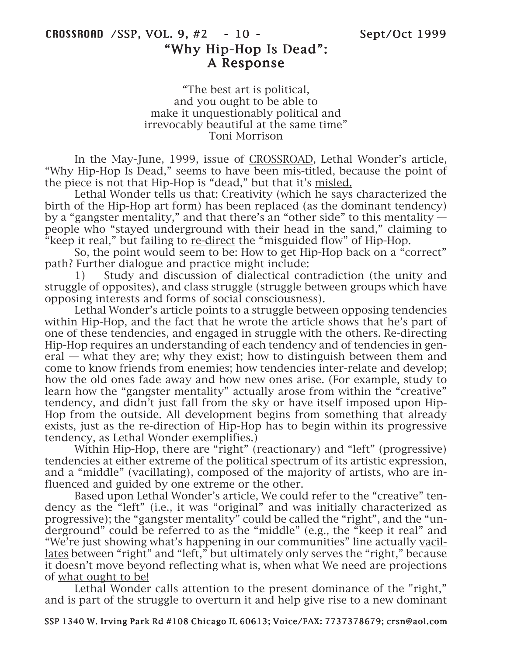# CROSSROAD /SSP, VOL. 9, #2 - 10 - Sept/Oct 1999 "Why Hip-Hop Is Dead": A Response

"The best art is political, and you ought to be able to make it unquestionably political and irrevocably beautiful at the same time" Toni Morrison

In the May-June, 1999, issue of CROSSROAD, Lethal Wonder's article, "Why Hip-Hop Is Dead," seems to have been mis-titled, because the point of the piece is not that Hip-Hop is "dead," but that it's misled.

Lethal Wonder tells us that: Creativity (which he says characterized the birth of the Hip-Hop art form) has been replaced (as the dominant tendency) by a "gangster mentality," and that there's an "other side" to this mentality people who "stayed underground with their head in the sand," claiming to "keep it real," but failing to re-direct the "misguided flow" of Hip-Hop.

So, the point would seem to be: How to get Hip-Hop back on a "correct" path? Further dialogue and practice might include:

1) Study and discussion of dialectical contradiction (the unity and struggle of opposites), and class struggle (struggle between groups which have opposing interests and forms of social consciousness).

Lethal Wonder's article points to a struggle between opposing tendencies within Hip-Hop, and the fact that he wrote the article shows that he's part of one of these tendencies, and engaged in struggle with the others. Re-directing Hip-Hop requires an understanding of each tendency and of tendencies in general — what they are; why they exist; how to distinguish between them and come to know friends from enemies; how tendencies inter-relate and develop; how the old ones fade away and how new ones arise. (For example, study to learn how the "gangster mentality" actually arose from within the "creative" tendency, and didn't just fall from the sky or have itself imposed upon Hip-Hop from the outside. All development begins from something that already exists, just as the re-direction of Hip-Hop has to begin within its progressive tendency, as Lethal Wonder exemplifies.)

Within Hip-Hop, there are "right" (reactionary) and "left" (progressive) tendencies at either extreme of the political spectrum of its artistic expression, and a "middle" (vacillating), composed of the majority of artists, who are influenced and guided by one extreme or the other.

Based upon Lethal Wonder's article, We could refer to the "creative" tendency as the "left" (i.e., it was "original" and was initially characterized as progressive); the "gangster mentality" could be called the "right", and the "underground" could be referred to as the "middle" (e.g., the "keep it real" and "We're just showing what's happening in our communities" line actually vacillates between "right" and "left," but ultimately only serves the "right," because it doesn't move beyond reflecting what is, when what We need are projections of what ought to be!

Lethal Wonder calls attention to the present dominance of the "right," and is part of the struggle to overturn it and help give rise to a new dominant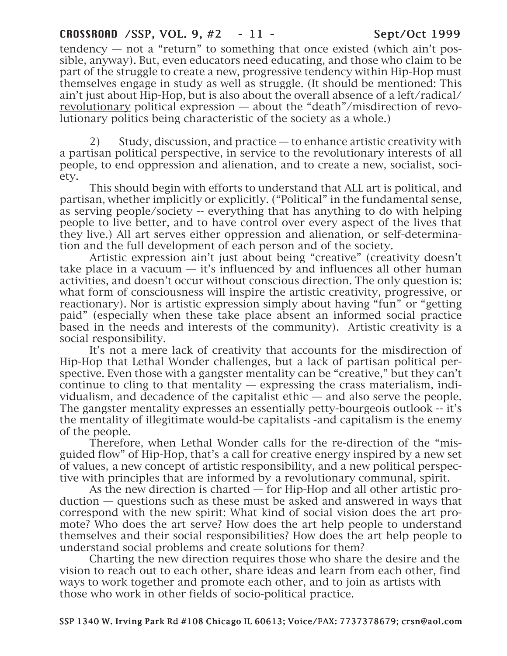# CROSSROAD /SSP, VOL. 9, #2 - 11 - Sept/Oct 1999

tendency  $-$  not a "return" to something that once existed (which ain't possible, anyway). But, even educators need educating, and those who claim to be part of the struggle to create a new, progressive tendency within Hip-Hop must themselves engage in study as well as struggle. (It should be mentioned: This ain't just about Hip-Hop, but is also about the overall absence of a left/radical/ revolutionary political expression — about the "death"/misdirection of revolutionary politics being characteristic of the society as a whole.)

2) Study, discussion, and practice — to enhance artistic creativity with a partisan political perspective, in service to the revolutionary interests of all people, to end oppression and alienation, and to create a new, socialist, society.

This should begin with efforts to understand that ALL art is political, and partisan, whether implicitly or explicitly. ("Political" in the fundamental sense, as serving people/society -- everything that has anything to do with helping people to live better, and to have control over every aspect of the lives that they live.) All art serves either oppression and alienation, or self-determination and the full development of each person and of the society.

Artistic expression ain't just about being "creative" (creativity doesn't take place in a vacuum  $-$  it's influenced by and influences all other human activities, and doesn't occur without conscious direction. The only question is: what form of consciousness will inspire the artistic creativity, progressive, or reactionary). Nor is artistic expression simply about having "fun" or "getting paid" (especially when these take place absent an informed social practice based in the needs and interests of the community). Artistic creativity is a social responsibility.

It's not a mere lack of creativity that accounts for the misdirection of Hip-Hop that Lethal Wonder challenges, but a lack of partisan political perspective. Even those with a gangster mentality can be "creative," but they can't continue to cling to that mentality  $-$  expressing the crass materialism, individualism, and decadence of the capitalist ethic — and also serve the people. The gangster mentality expresses an essentially petty-bourgeois outlook -- it's the mentality of illegitimate would-be capitalists -and capitalism is the enemy of the people.

Therefore, when Lethal Wonder calls for the re-direction of the "misguided flow" of Hip-Hop, that's a call for creative energy inspired by a new set of values, a new concept of artistic responsibility, and a new political perspective with principles that are informed by a revolutionary communal, spirit.

As the new direction is charted — for Hip-Hop and all other artistic production — questions such as these must be asked and answered in ways that correspond with the new spirit: What kind of social vision does the art promote? Who does the art serve? How does the art help people to understand themselves and their social responsibilities? How does the art help people to understand social problems and create solutions for them?

Charting the new direction requires those who share the desire and the vision to reach out to each other, share ideas and learn from each other, find ways to work together and promote each other, and to join as artists with those who work in other fields of socio-political practice.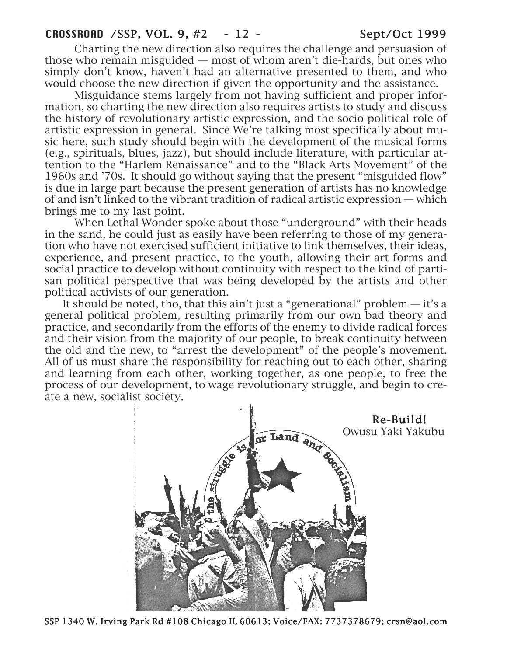Charting the new direction also requires the challenge and persuasion of those who remain misguided — most of whom aren't die-hards, but ones who simply don't know, haven't had an alternative presented to them, and who would choose the new direction if given the opportunity and the assistance.

Misguidance stems largely from not having sufficient and proper information, so charting the new direction also requires artists to study and discuss the history of revolutionary artistic expression, and the socio-political role of artistic expression in general. Since We're talking most specifically about music here, such study should begin with the development of the musical forms (e.g., spirituals, blues, jazz), but should include literature, with particular attention to the "Harlem Renaissance" and to the "Black Arts Movement" of the 1960s and '70s. It should go without saying that the present "misguided flow" is due in large part because the present generation of artists has no knowledge of and isn't linked to the vibrant tradition of radical artistic expression — which brings me to my last point.

When Lethal Wonder spoke about those "underground" with their heads in the sand, he could just as easily have been referring to those of my generation who have not exercised sufficient initiative to link themselves, their ideas, experience, and present practice, to the youth, allowing their art forms and social practice to develop without continuity with respect to the kind of partisan political perspective that was being developed by the artists and other political activists of our generation.

It should be noted, tho, that this ain't just a "generational" problem  $-$  it's a general political problem, resulting primarily from our own bad theory and practice, and secondarily from the efforts of the enemy to divide radical forces and their vision from the majority of our people, to break continuity between the old and the new, to "arrest the development" of the people's movement. All of us must share the responsibility for reaching out to each other, sharing and learning from each other, working together, as one people, to free the process of our development, to wage revolutionary struggle, and begin to create a new, socialist society.

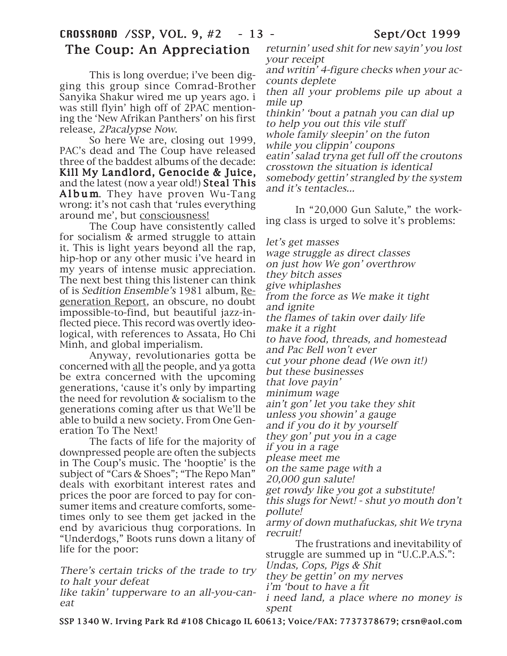# CROSSROAD /SSP, VOL. 9, #2 - 13 - Sept/Oct 1999 The Coup: An Appreciation

This is long overdue; i've been digging this group since Comrad-Brother Sanyika Shakur wired me up years ago. i was still flyin' high off of 2PAC mentioning the 'New Afrikan Panthers' on his first release, 2Pacalypse Now.

So here We are, closing out 1999, PAC's dead and The Coup have released three of the baddest albums of the decade: Kill My Landlord, Genocide & Juice, and the latest (now a year old!) Steal This Album. They have proven Wu-Tang wrong: it's not cash that 'rules everything around me', but consciousness!

The Coup have consistently called for socialism & armed struggle to attain it. This is light years beyond all the rap, hip-hop or any other music i've heard in my years of intense music appreciation. The next best thing this listener can think of is Sedition Ensemble's 1981 album, Regeneration Report, an obscure, no doubt impossible-to-find, but beautiful jazz-inflected piece. This record was overtly ideological, with references to Assata, Ho Chi Minh, and global imperialism.

Anyway, revolutionaries gotta be concerned with all the people, and ya gotta be extra concerned with the upcoming generations, 'cause it's only by imparting the need for revolution & socialism to the generations coming after us that We'll be able to build a new society. From One Generation To The Next!

The facts of life for the majority of downpressed people are often the subjects in The Coup's music. The 'hooptie' is the subject of "Cars & Shoes"; "The Repo Man" deals with exorbitant interest rates and prices the poor are forced to pay for consumer items and creature comforts, sometimes only to see them get jacked in the end by avaricious thug corporations. In "Underdogs," Boots runs down a litany of life for the poor:

There's certain tricks of the trade to try to halt your defeat

like takin' tupperware to an all-you-caneat

returnin' used shit for new sayin' you lost your receipt

and writin' 4-figure checks when your accounts deplete

then all your problems pile up about a mile up

thinkin' 'bout a patnah you can dial up to help you out this vile stuff whole family sleepin' on the futon while you clippin' coupons eatin' salad tryna get full off the croutons crosstown the situation is identical somebody gettin' strangled by the system and it's tentacles...

In "20,000 Gun Salute," the working class is urged to solve it's problems:

let's get masses wage struggle as direct classes on just how We gon' overthrow they bitch asses give whiplashes from the force as We make it tight and ignite the flames of takin over daily life make it a right to have food, threads, and homestead and Pac Bell won't ever cut your phone dead (We own it!) but these businesses that love payin' minimum wage ain't gon' let you take they shit unless you showin' a gauge and if you do it by yourself they gon' put you in a cage if you in a rage please meet me on the same page with a 20,000 gun salute! get rowdy like you got a substitute! this slugs for Newt! - shut yo mouth don't pollute! army of down muthafuckas, shit We tryna recruit! The frustrations and inevitability of struggle are summed up in "U.C.P.A.S.": Undas, Cops, Pigs & Shit they be gettin' on my nerves i'm 'bout to have a fit i need land, a place where no money is spent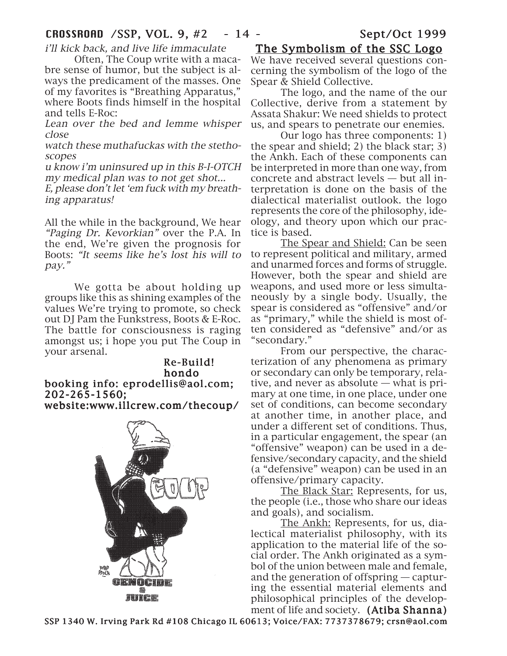i'll kick back, and live life immaculate

Often, The Coup write with a macabre sense of humor, but the subject is always the predicament of the masses. One of my favorites is "Breathing Apparatus," where Boots finds himself in the hospital and tells E-Roc:

Lean over the bed and lemme whisper close

watch these muthafuckas with the stethoscopes

u know i'm uninsured up in this B-I-OTCH my medical plan was to not get shot...

E, please don't let 'em fuck with my breathing apparatus!

All the while in the background, We hear "Paging Dr. Kevorkian" over the P.A. In the end, We're given the prognosis for Boots: "It seems like he's lost his will to pay."

We gotta be about holding up groups like this as shining examples of the values We're trying to promote, so check out DJ Pam the Funkstress, Boots & E-Roc. The battle for consciousness is raging amongst us; i hope you put The Coup in your arsenal.

Re-Build! Re-Build! hondo booking info: eprodellis@aol.com; 202-265-1560; 202-265-1560; website:www.illcrew.com/thecoup/



## The Symbolism of the SSC Logo

We have received several questions concerning the symbolism of the logo of the Spear & Shield Collective.

The logo, and the name of the our Collective, derive from a statement by Assata Shakur: We need shields to protect us, and spears to penetrate our enemies.

Our logo has three components: 1) the spear and shield; 2) the black star; 3) the Ankh. Each of these components can be interpreted in more than one way, from concrete and abstract levels — but all interpretation is done on the basis of the dialectical materialist outlook. the logo represents the core of the philosophy, ideology, and theory upon which our practice is based.

The Spear and Shield: Can be seen to represent political and military, armed and unarmed forces and forms of struggle. However, both the spear and shield are weapons, and used more or less simultaneously by a single body. Usually, the spear is considered as "offensive" and/or as "primary," while the shield is most often considered as "defensive" and/or as "secondary."

From our perspective, the characterization of any phenomena as primary or secondary can only be temporary, relative, and never as absolute — what is primary at one time, in one place, under one set of conditions, can become secondary at another time, in another place, and under a different set of conditions. Thus, in a particular engagement, the spear (an "offensive" weapon) can be used in a defensive/secondary capacity, and the shield (a "defensive" weapon) can be used in an offensive/primary capacity.

The Black Star: Represents, for us, the people (i.e., those who share our ideas and goals), and socialism.

The Ankh: Represents, for us, dialectical materialist philosophy, with its application to the material life of the social order. The Ankh originated as a symbol of the union between male and female, and the generation of offspring — capturing the essential material elements and philosophical principles of the development of life and society. (Atiba Shanna)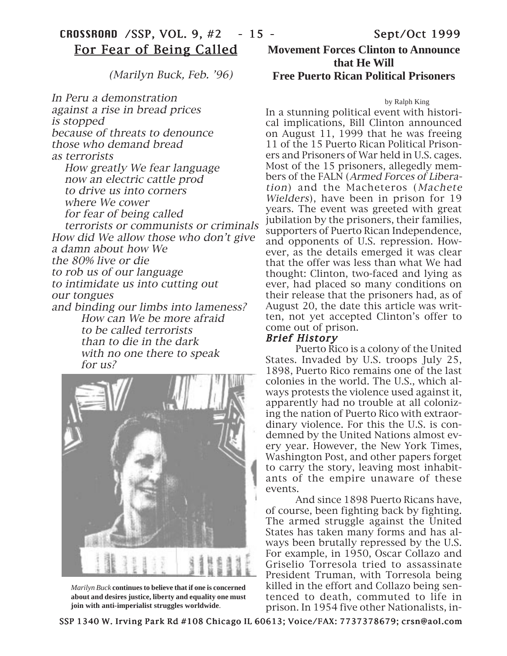(Marilyn Buck, Feb. '96)

In Peru a demonstration against a rise in bread prices is stopped because of threats to denounce those who demand bread as terrorists How greatly We fear language now an electric cattle prod to drive us into corners where We cower for fear of being called terrorists or communists or criminals How did We allow those who don't give a damn about how We the 80% live or die to rob us of our language to intimidate us into cutting out our tongues and binding our limbs into lameness? How can We be more afraid to be called terrorists than to die in the dark with no one there to speak for us?



*Marilyn Buck* **continues to believe that if one is concerned about and desires justice, liberty and equality one must join with anti-imperialist struggles worldwide**.

# **Movement Forces Clinton to Announce that He Will Free Puerto Rican Political Prisoners**

#### by Ralph King

In a stunning political event with historical implications, Bill Clinton announced on August 11, 1999 that he was freeing 11 of the 15 Puerto Rican Political Prisoners and Prisoners of War held in U.S. cages. Most of the 15 prisoners, allegedly members of the FALN (Armed Forces of Liberation) and the Macheteros (Machete Wielders), have been in prison for 19 years. The event was greeted with great jubilation by the prisoners, their families, supporters of Puerto Rican Independence, and opponents of U.S. repression. However, as the details emerged it was clear that the offer was less than what We had thought: Clinton, two-faced and lying as ever, had placed so many conditions on their release that the prisoners had, as of August 20, the date this article was written, not yet accepted Clinton's offer to come out of prison.

#### Brief History

Puerto Rico is a colony of the United States. Invaded by U.S. troops July 25, 1898, Puerto Rico remains one of the last colonies in the world. The U.S., which always protests the violence used against it, apparently had no trouble at all colonizing the nation of Puerto Rico with extraordinary violence. For this the U.S. is condemned by the United Nations almost every year. However, the New York Times, Washington Post, and other papers forget to carry the story, leaving most inhabitants of the empire unaware of these events.

And since 1898 Puerto Ricans have, of course, been fighting back by fighting. The armed struggle against the United States has taken many forms and has always been brutally repressed by the U.S. For example, in 1950, Oscar Collazo and Griselio Torresola tried to assassinate President Truman, with Torresola being killed in the effort and Collazo being sentenced to death, commuted to life in prison. In 1954 five other Nationalists, in-